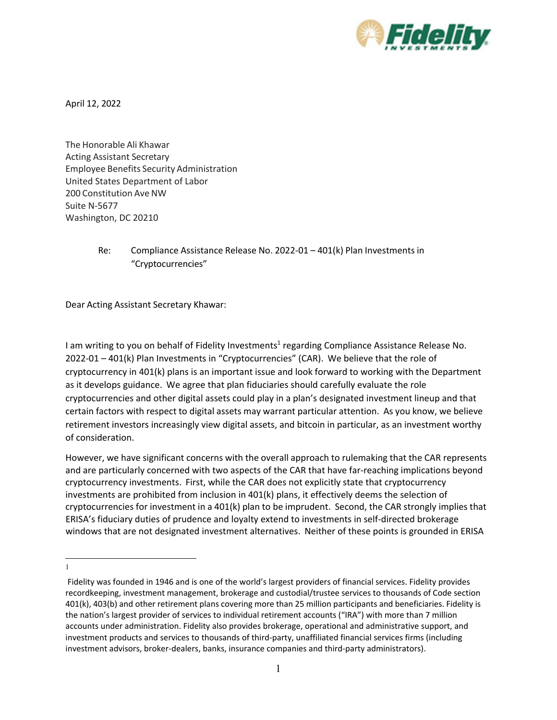

April 12, 2022

The Honorable Ali Khawar Acting Assistant Secretary Employee Benefits Security Administration United States Department of Labor 200 Constitution Ave NW Suite N-5677 Washington, DC 20210

> Re: Compliance Assistance Release No. 2022-01 – 401(k) Plan Investments in "Cryptocurrencies"

Dear Acting Assistant Secretary Khawar:

I am writing to you on behalf of Fidelity Investments<sup>1</sup> regarding Compliance Assistance Release No. 2022-01 – 401(k) Plan Investments in "Cryptocurrencies" (CAR). We believe that the role of cryptocurrency in 401(k) plans is an important issue and look forward to working with the Department as it develops guidance. We agree that plan fiduciaries should carefully evaluate the role cryptocurrencies and other digital assets could play in a plan's designated investment lineup and that certain factors with respect to digital assets may warrant particular attention. As you know, we believe retirement investors increasingly view digital assets, and bitcoin in particular, as an investment worthy of consideration.

However, we have significant concerns with the overall approach to rulemaking that the CAR represents and are particularly concerned with two aspects of the CAR that have far-reaching implications beyond cryptocurrency investments. First, while the CAR does not explicitly state that cryptocurrency investments are prohibited from inclusion in 401(k) plans, it effectively deems the selection of cryptocurrencies for investment in a 401(k) plan to be imprudent. Second, the CAR strongly implies that ERISA's fiduciary duties of prudence and loyalty extend to investments in self-directed brokerage windows that are not designated investment alternatives. Neither of these points is grounded in ERISA

<span id="page-0-0"></span>1

Fidelity was founded in 1946 and is one of the world's largest providers of financial services. Fidelity provides recordkeeping, investment management, brokerage and custodial/trustee services to thousands of Code section 401(k), 403(b) and other retirement plans covering more than 25 million participants and beneficiaries. Fidelity is the nation's largest provider of services to individual retirement accounts ("IRA") with more than 7 million accounts under administration. Fidelity also provides brokerage, operational and administrative support, and investment products and services to thousands of third-party, unaffiliated financial services firms (including investment advisors, broker-dealers, banks, insurance companies and third-party administrators).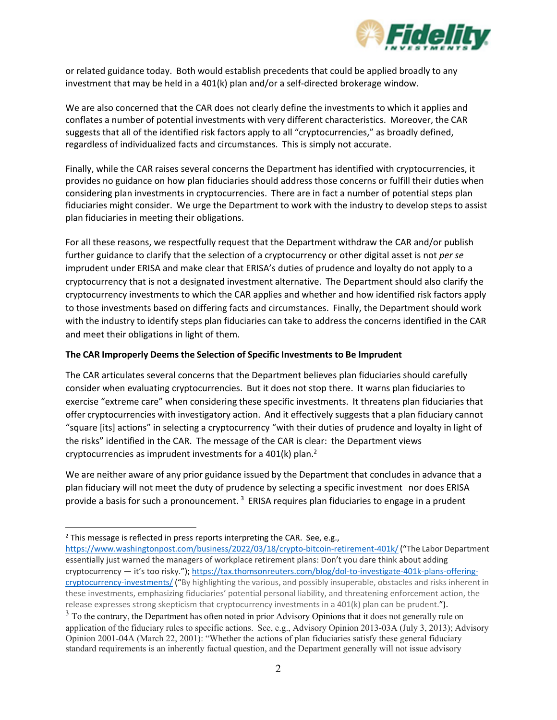

or related guidance today. Both would establish precedents that could be applied broadly to any investment that may be held in a 401(k) plan and/or a self-directed brokerage window.

We are also concerned that the CAR does not clearly define the investments to which it applies and conflates a number of potential investments with very different characteristics. Moreover, the CAR suggests that all of the identified risk factors apply to all "cryptocurrencies," as broadly defined, regardless of individualized facts and circumstances. This is simply not accurate.

Finally, while the CAR raises several concerns the Department has identified with cryptocurrencies, it provides no guidance on how plan fiduciaries should address those concerns or fulfill their duties when considering plan investments in cryptocurrencies. There are in fact a number of potential steps plan fiduciaries might consider. We urge the Department to work with the industry to develop steps to assist plan fiduciaries in meeting their obligations.

For all these reasons, we respectfully request that the Department withdraw the CAR and/or publish further guidance to clarify that the selection of a cryptocurrency or other digital asset is not *per se*  imprudent under ERISA and make clear that ERISA's duties of prudence and loyalty do not apply to a cryptocurrency that is not a designated investment alternative. The Department should also clarify the cryptocurrency investments to which the CAR applies and whether and how identified risk factors apply to those investments based on differing facts and circumstances. Finally, the Department should work with the industry to identify steps plan fiduciaries can take to address the concerns identified in the CAR and meet their obligations in light of them.

## **The CAR Improperly Deems the Selection of Specific Investments to Be Imprudent**

The CAR articulates several concerns that the Department believes plan fiduciaries should carefully consider when evaluating cryptocurrencies. But it does not stop there. It warns plan fiduciaries to exercise "extreme care" when considering these specific investments. It threatens plan fiduciaries that offer cryptocurrencies with investigatory action. And it effectively suggests that a plan fiduciary cannot "square [its] actions" in selecting a cryptocurrency "with their duties of prudence and loyalty in light of the risks" identified in the CAR. The message of the CAR is clear: the Department views cryptocurrencies as imprudent investments for a  $401(k)$  plan.<sup>2</sup>

We are neither aware of any prior guidance issued by the Department that concludes in advance that a plan fiduciary will not meet the duty of prudence by selecting a specific investment nor does ERISA provide a basis for such a pronouncement.<sup>[3](#page-1-1)</sup> ERISA requires plan fiduciaries to engage in a prudent

<span id="page-1-0"></span> $2$  This message is reflected in press reports interpreting the CAR. See, e.g.,

[https://www.washingtonpost.com/business/2022/03/18/crypto-bitcoin-retirement-401k/\(](https://www.washingtonpost.com/business/2022/03/18/crypto-bitcoin-retirement-401k/)"The Labor Department essentially just warned the managers of workplace retirement plans: Don't you dare think about adding cryptocurrency — it's too risky."); [https://tax.thomsonreuters.com/blog/dol-to-investigate-401k-plans-offering](https://tax.thomsonreuters.com/blog/dol-to-investigate-401k-plans-offering-cryptocurrency-investments/)[cryptocurrency-investments/](https://tax.thomsonreuters.com/blog/dol-to-investigate-401k-plans-offering-cryptocurrency-investments/) ("By highlighting the various, and possibly insuperable, obstacles and risks inherent in these investments, emphasizing fiduciaries' potential personal liability, and threatening enforcement action, the release expresses strong skepticism that cryptocurrency investments in a 401(k) plan can be prudent.").

<span id="page-1-1"></span> $3$  To the contrary, the Department has often noted in prior Advisory Opinions that it does not generally rule on application of the fiduciary rules to specific actions. See, e.g., Advisory Opinion 2013-03A (July 3, 2013); Advisory Opinion 2001-04A (March 22, 2001): "Whether the actions of plan fiduciaries satisfy these general fiduciary standard requirements is an inherently factual question, and the Department generally will not issue advisory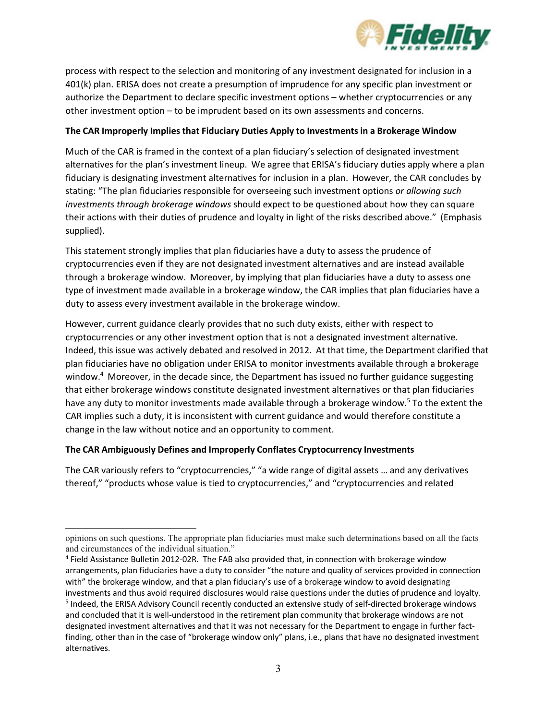

process with respect to the selection and monitoring of any investment designated for inclusion in a 401(k) plan. ERISA does not create a presumption of imprudence for any specific plan investment or authorize the Department to declare specific investment options – whether cryptocurrencies or any other investment option – to be imprudent based on its own assessments and concerns.

### **The CAR Improperly Implies that Fiduciary Duties Apply to Investments in a Brokerage Window**

Much of the CAR is framed in the context of a plan fiduciary's selection of designated investment alternatives for the plan's investment lineup. We agree that ERISA's fiduciary duties apply where a plan fiduciary is designating investment alternatives for inclusion in a plan. However, the CAR concludes by stating: "The plan fiduciaries responsible for overseeing such investment options *or allowing such investments through brokerage windows* should expect to be questioned about how they can square their actions with their duties of prudence and loyalty in light of the risks described above." (Emphasis supplied).

This statement strongly implies that plan fiduciaries have a duty to assess the prudence of cryptocurrencies even if they are not designated investment alternatives and are instead available through a brokerage window. Moreover, by implying that plan fiduciaries have a duty to assess one type of investment made available in a brokerage window, the CAR implies that plan fiduciaries have a duty to assess every investment available in the brokerage window.

However, current guidance clearly provides that no such duty exists, either with respect to cryptocurrencies or any other investment option that is not a designated investment alternative. Indeed, this issue was actively debated and resolved in 2012. At that time, the Department clarified that plan fiduciaries have no obligation under ERISA to monitor investments available through a brokerage window[.4](#page-2-0) Moreover, in the decade since, the Department has issued no further guidance suggesting that either brokerage windows constitute designated investment alternatives or that plan fiduciaries have any duty to monitor investments made available through a brokerage window.<sup>5</sup> To the extent the CAR implies such a duty, it is inconsistent with current guidance and would therefore constitute a change in the law without notice and an opportunity to comment.

# **The CAR Ambiguously Defines and Improperly Conflates Cryptocurrency Investments**

The CAR variously refers to "cryptocurrencies," "a wide range of digital assets … and any derivatives thereof," "products whose value is tied to cryptocurrencies," and "cryptocurrencies and related

opinions on such questions. The appropriate plan fiduciaries must make such determinations based on all the facts and circumstances of the individual situation."

<span id="page-2-0"></span><sup>4</sup> Field Assistance Bulletin 2012-02R. The FAB also provided that, in connection with brokerage window arrangements, plan fiduciaries have a duty to consider "the nature and quality of services provided in connection with" the brokerage window, and that a plan fiduciary's use of a brokerage window to avoid designating investments and thus avoid required disclosures would raise questions under the duties of prudence and loyalty.<br><sup>5</sup> Indeed, the ERISA Advisory Council recently conducted an extensive study of self-directed brokerage window

<span id="page-2-1"></span>and concluded that it is well-understood in the retirement plan community that brokerage windows are not designated investment alternatives and that it was not necessary for the Department to engage in further factfinding, other than in the case of "brokerage window only" plans, i.e., plans that have no designated investment alternatives.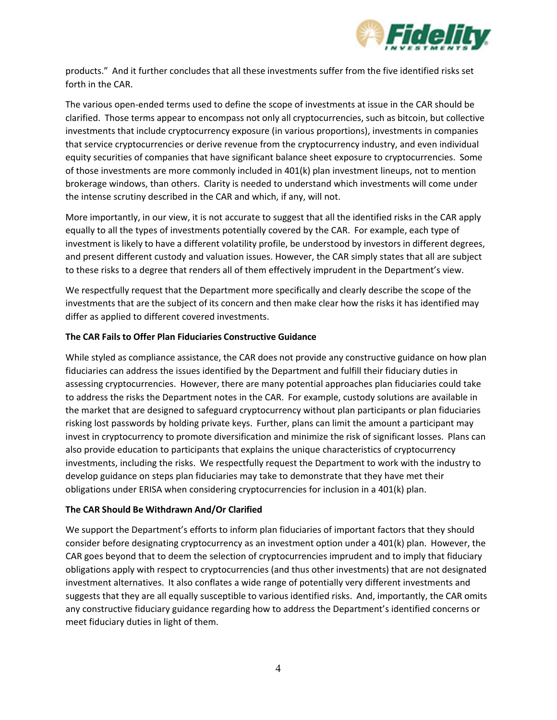

products." And it further concludes that all these investments suffer from the five identified risks set forth in the CAR.

The various open-ended terms used to define the scope of investments at issue in the CAR should be clarified. Those terms appear to encompass not only all cryptocurrencies, such as bitcoin, but collective investments that include cryptocurrency exposure (in various proportions), investments in companies that service cryptocurrencies or derive revenue from the cryptocurrency industry, and even individual equity securities of companies that have significant balance sheet exposure to cryptocurrencies. Some of those investments are more commonly included in 401(k) plan investment lineups, not to mention brokerage windows, than others. Clarity is needed to understand which investments will come under the intense scrutiny described in the CAR and which, if any, will not.

More importantly, in our view, it is not accurate to suggest that all the identified risks in the CAR apply equally to all the types of investments potentially covered by the CAR. For example, each type of investment is likely to have a different volatility profile, be understood by investors in different degrees, and present different custody and valuation issues. However, the CAR simply states that all are subject to these risks to a degree that renders all of them effectively imprudent in the Department's view.

We respectfully request that the Department more specifically and clearly describe the scope of the investments that are the subject of its concern and then make clear how the risks it has identified may differ as applied to different covered investments.

### **The CAR Fails to Offer Plan Fiduciaries Constructive Guidance**

While styled as compliance assistance, the CAR does not provide any constructive guidance on how plan fiduciaries can address the issues identified by the Department and fulfill their fiduciary duties in assessing cryptocurrencies. However, there are many potential approaches plan fiduciaries could take to address the risks the Department notes in the CAR. For example, custody solutions are available in the market that are designed to safeguard cryptocurrency without plan participants or plan fiduciaries risking lost passwords by holding private keys. Further, plans can limit the amount a participant may invest in cryptocurrency to promote diversification and minimize the risk of significant losses. Plans can also provide education to participants that explains the unique characteristics of cryptocurrency investments, including the risks. We respectfully request the Department to work with the industry to develop guidance on steps plan fiduciaries may take to demonstrate that they have met their obligations under ERISA when considering cryptocurrencies for inclusion in a 401(k) plan.

### **The CAR Should Be Withdrawn And/Or Clarified**

We support the Department's efforts to inform plan fiduciaries of important factors that they should consider before designating cryptocurrency as an investment option under a 401(k) plan. However, the CAR goes beyond that to deem the selection of cryptocurrencies imprudent and to imply that fiduciary obligations apply with respect to cryptocurrencies (and thus other investments) that are not designated investment alternatives. It also conflates a wide range of potentially very different investments and suggests that they are all equally susceptible to various identified risks. And, importantly, the CAR omits any constructive fiduciary guidance regarding how to address the Department's identified concerns or meet fiduciary duties in light of them.